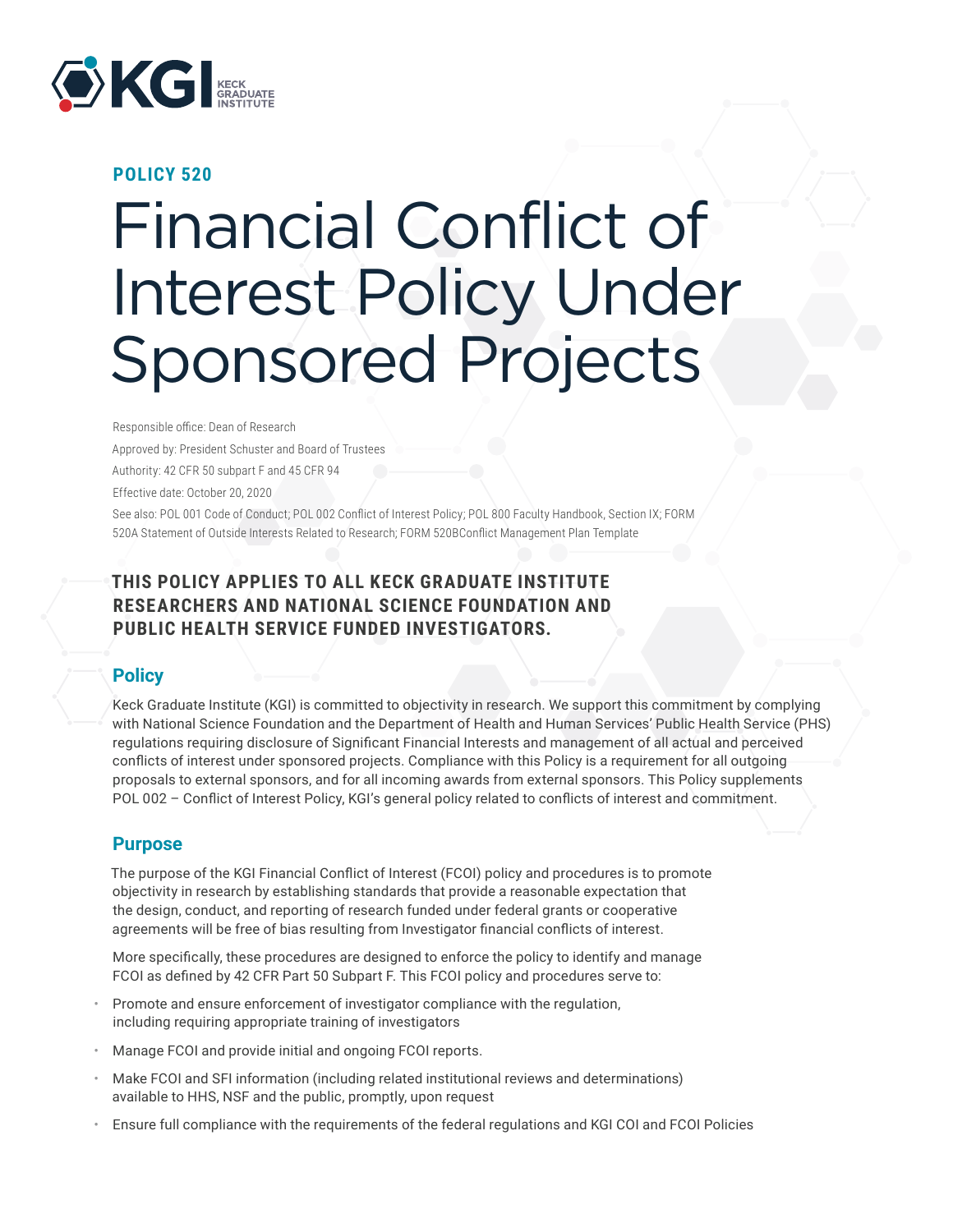

#### **POLICY 520**

# Financial Conflict of Interest Policy Under Sponsored Projects

Responsible office: Dean of Research Approved by: President Schuster and Board of Trustees Authority: 42 CFR 50 subpart F and 45 CFR 94 Effective date: October 20, 2020 See also: POL 001 Code of Conduct; POL 002 Conflict of Interest Policy; POL 800 Faculty Handbook, Section IX; FORM 520A Statement of Outside Interests Related to Research; FORM 520BConflict Management Plan Template

# **THIS POLICY APPLIES TO ALL KECK GRADUATE INSTITUTE RESEARCHERS AND NATIONAL SCIENCE FOUNDATION AND PUBLIC HEALTH SERVICE FUNDED INVESTIGATORS.**

#### **Policy**

Keck Graduate Institute (KGI) is committed to objectivity in research. We support this commitment by complying with National Science Foundation and the Department of Health and Human Services' Public Health Service (PHS) regulations requiring disclosure of Significant Financial Interests and management of all actual and perceived conflicts of interest under sponsored projects. Compliance with this Policy is a requirement for all outgoing proposals to external sponsors, and for all incoming awards from external sponsors. This Policy supplements POL 002 – Conflict of Interest Policy, KGI's general policy related to conflicts of interest and commitment.

#### **Purpose**

The purpose of the KGI Financial Conflict of Interest (FCOI) policy and procedures is to promote objectivity in research by establishing standards that provide a reasonable expectation that the design, conduct, and reporting of research funded under federal grants or cooperative agreements will be free of bias resulting from Investigator financial conflicts of interest.

More specifically, these procedures are designed to enforce the policy to identify and manage FCOI as defined by 42 CFR Part 50 Subpart F. This FCOI policy and procedures serve to:

- Promote and ensure enforcement of investigator compliance with the regulation, including requiring appropriate training of investigators
- Manage FCOI and provide initial and ongoing FCOI reports.
- Make FCOI and SFI information (including related institutional reviews and determinations) available to HHS, NSF and the public, promptly, upon request
- Ensure full compliance with the requirements of the federal regulations and KGI COI and FCOI Policies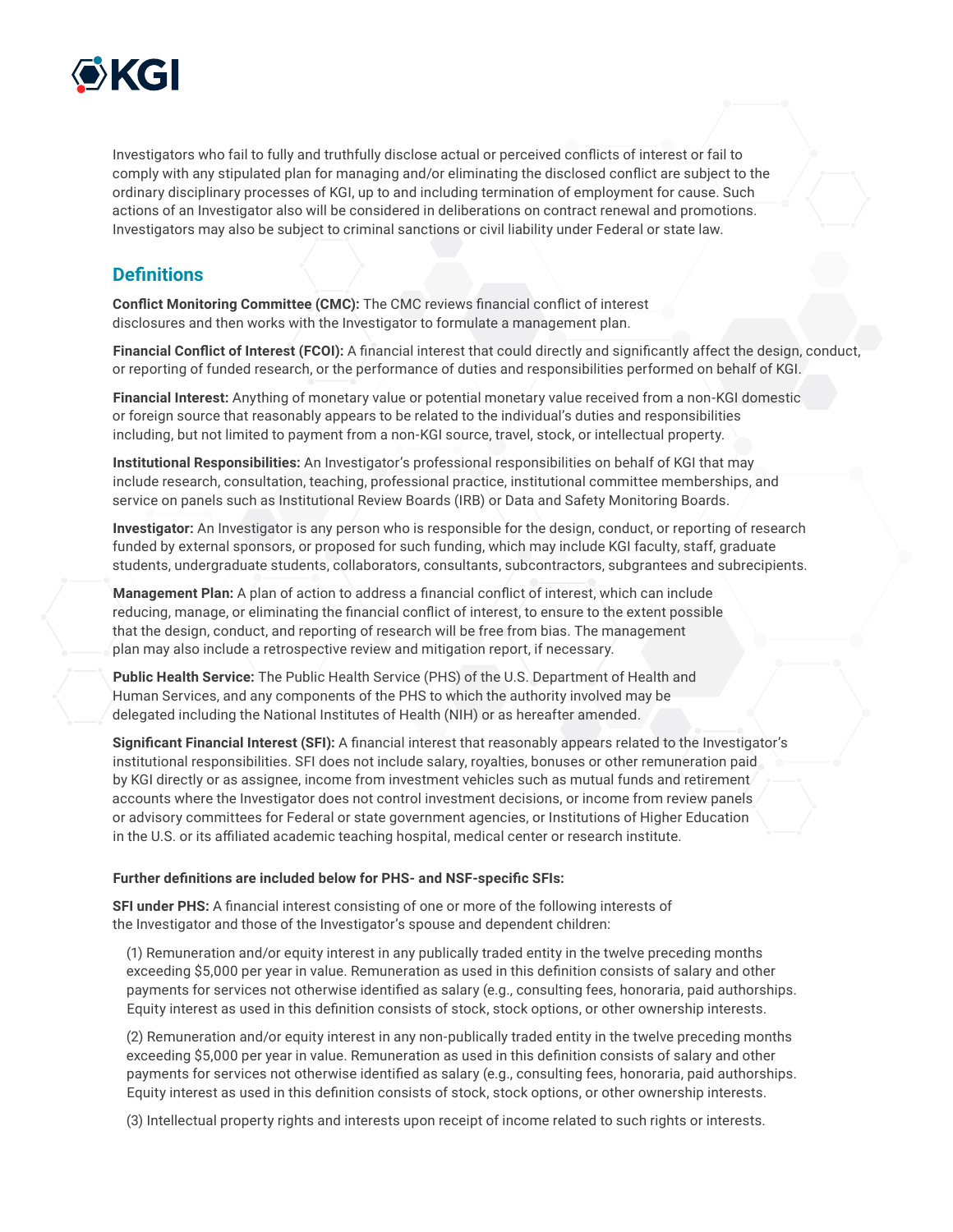

Investigators who fail to fully and truthfully disclose actual or perceived conflicts of interest or fail to comply with any stipulated plan for managing and/or eliminating the disclosed conflict are subject to the ordinary disciplinary processes of KGI, up to and including termination of employment for cause. Such actions of an Investigator also will be considered in deliberations on contract renewal and promotions. Investigators may also be subject to criminal sanctions or civil liability under Federal or state law.

# **Definitions**

**Conflict Monitoring Committee (CMC):** The CMC reviews financial conflict of interest disclosures and then works with the Investigator to formulate a management plan.

**Financial Conflict of Interest (FCOI):** A financial interest that could directly and significantly affect the design, conduct, or reporting of funded research, or the performance of duties and responsibilities performed on behalf of KGI.

**Financial Interest:** Anything of monetary value or potential monetary value received from a non-KGI domestic or foreign source that reasonably appears to be related to the individual's duties and responsibilities including, but not limited to payment from a non-KGI source, travel, stock, or intellectual property.

**Institutional Responsibilities:** An Investigator's professional responsibilities on behalf of KGI that may include research, consultation, teaching, professional practice, institutional committee memberships, and service on panels such as Institutional Review Boards (IRB) or Data and Safety Monitoring Boards.

**Investigator:** An Investigator is any person who is responsible for the design, conduct, or reporting of research funded by external sponsors, or proposed for such funding, which may include KGI faculty, staff, graduate students, undergraduate students, collaborators, consultants, subcontractors, subgrantees and subrecipients.

**Management Plan:** A plan of action to address a financial conflict of interest, which can include reducing, manage, or eliminating the financial conflict of interest, to ensure to the extent possible that the design, conduct, and reporting of research will be free from bias. The management plan may also include a retrospective review and mitigation report, if necessary.

**Public Health Service:** The Public Health Service (PHS) of the U.S. Department of Health and Human Services, and any components of the PHS to which the authority involved may be delegated including the National Institutes of Health (NIH) or as hereafter amended.

**Significant Financial Interest (SFI):** A financial interest that reasonably appears related to the Investigator's institutional responsibilities. SFI does not include salary, royalties, bonuses or other remuneration paid by KGI directly or as assignee, income from investment vehicles such as mutual funds and retirement accounts where the Investigator does not control investment decisions, or income from review panels or advisory committees for Federal or state government agencies, or Institutions of Higher Education in the U.S. or its affiliated academic teaching hospital, medical center or research institute.

#### **Further definitions are included below for PHS- and NSF-specific SFIs:**

**SFI under PHS:** A financial interest consisting of one or more of the following interests of the Investigator and those of the Investigator's spouse and dependent children:

(1) Remuneration and/or equity interest in any publically traded entity in the twelve preceding months exceeding \$5,000 per year in value. Remuneration as used in this definition consists of salary and other payments for services not otherwise identified as salary (e.g., consulting fees, honoraria, paid authorships. Equity interest as used in this definition consists of stock, stock options, or other ownership interests.

(2) Remuneration and/or equity interest in any non-publically traded entity in the twelve preceding months exceeding \$5,000 per year in value. Remuneration as used in this definition consists of salary and other payments for services not otherwise identified as salary (e.g., consulting fees, honoraria, paid authorships. Equity interest as used in this definition consists of stock, stock options, or other ownership interests.

(3) Intellectual property rights and interests upon receipt of income related to such rights or interests.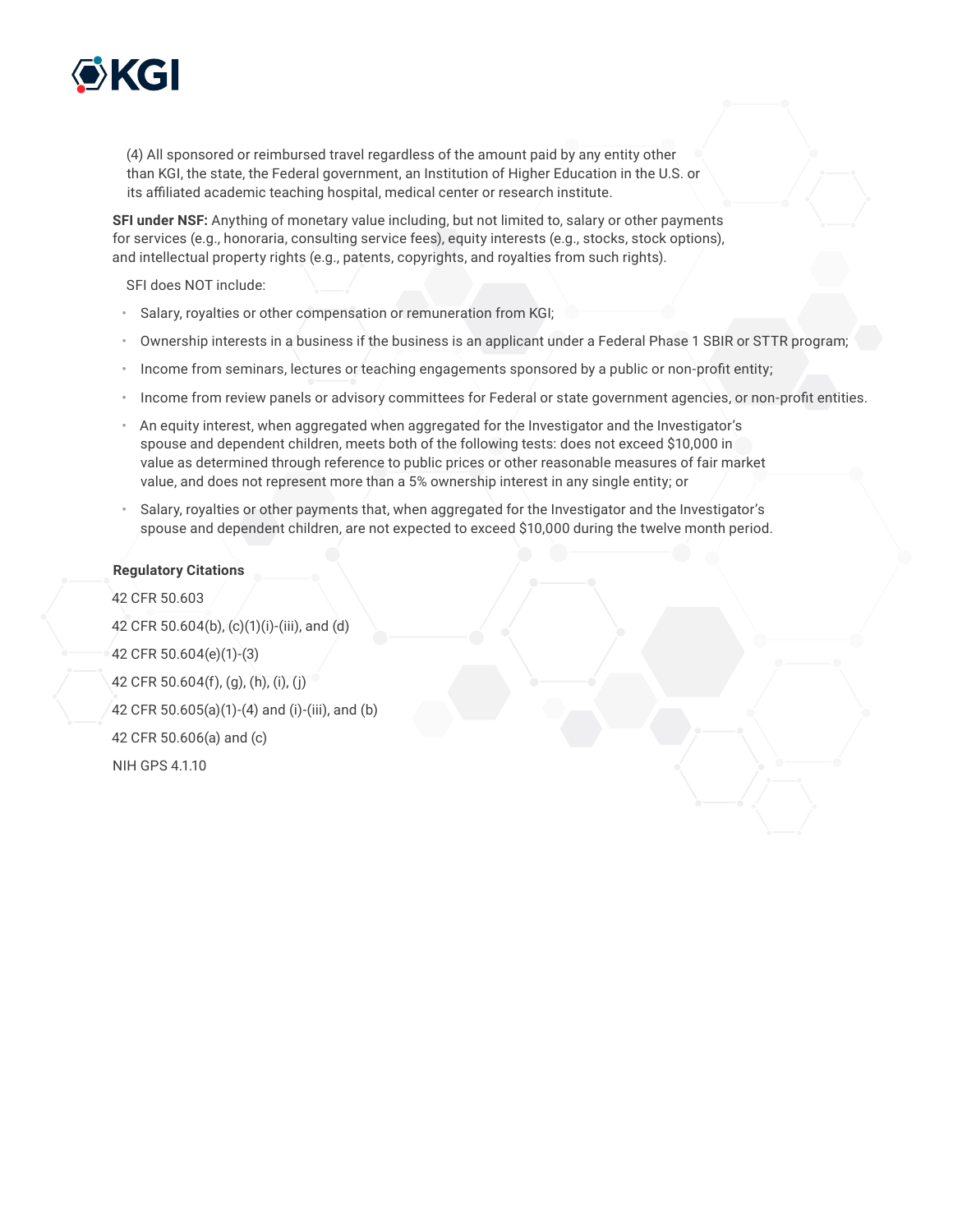

(4) All sponsored or reimbursed travel regardless of the amount paid by any entity other than KGI, the state, the Federal government, an Institution of Higher Education in the U.S. or its affiliated academic teaching hospital, medical center or research institute.

**SFI under NSF:** Anything of monetary value including, but not limited to, salary or other payments for services (e.g., honoraria, consulting service fees), equity interests (e.g., stocks, stock options), and intellectual property rights (e.g., patents, copyrights, and royalties from such rights).

SFI does NOT include:

- Salary, royalties or other compensation or remuneration from KGI;
- Ownership interests in a business if the business is an applicant under a Federal Phase 1 SBIR or STTR program;
- Income from seminars, lectures or teaching engagements sponsored by a public or non-profit entity;
- Income from review panels or advisory committees for Federal or state government agencies, or non-profit entities.
- An equity interest, when aggregated when aggregated for the Investigator and the Investigator's spouse and dependent children, meets both of the following tests: does not exceed \$10,000 in value as determined through reference to public prices or other reasonable measures of fair market value, and does not represent more than a 5% ownership interest in any single entity; or
- Salary, royalties or other payments that, when aggregated for the Investigator and the Investigator's spouse and dependent children, are not expected to exceed \$10,000 during the twelve month period.

#### **Regulatory Citations**

42 CFR 50.603 42 CFR 50.604(b), (c)(1)(i)-(iii), and (d) 42 CFR 50.604(e)(1)-(3) 42 CFR 50.604(f), (g), (h), (i), (j) 42 CFR 50.605(a)(1)-(4) and (i)-(iii), and (b) 42 CFR 50.606(a) and (c) NIH GPS 4.1.10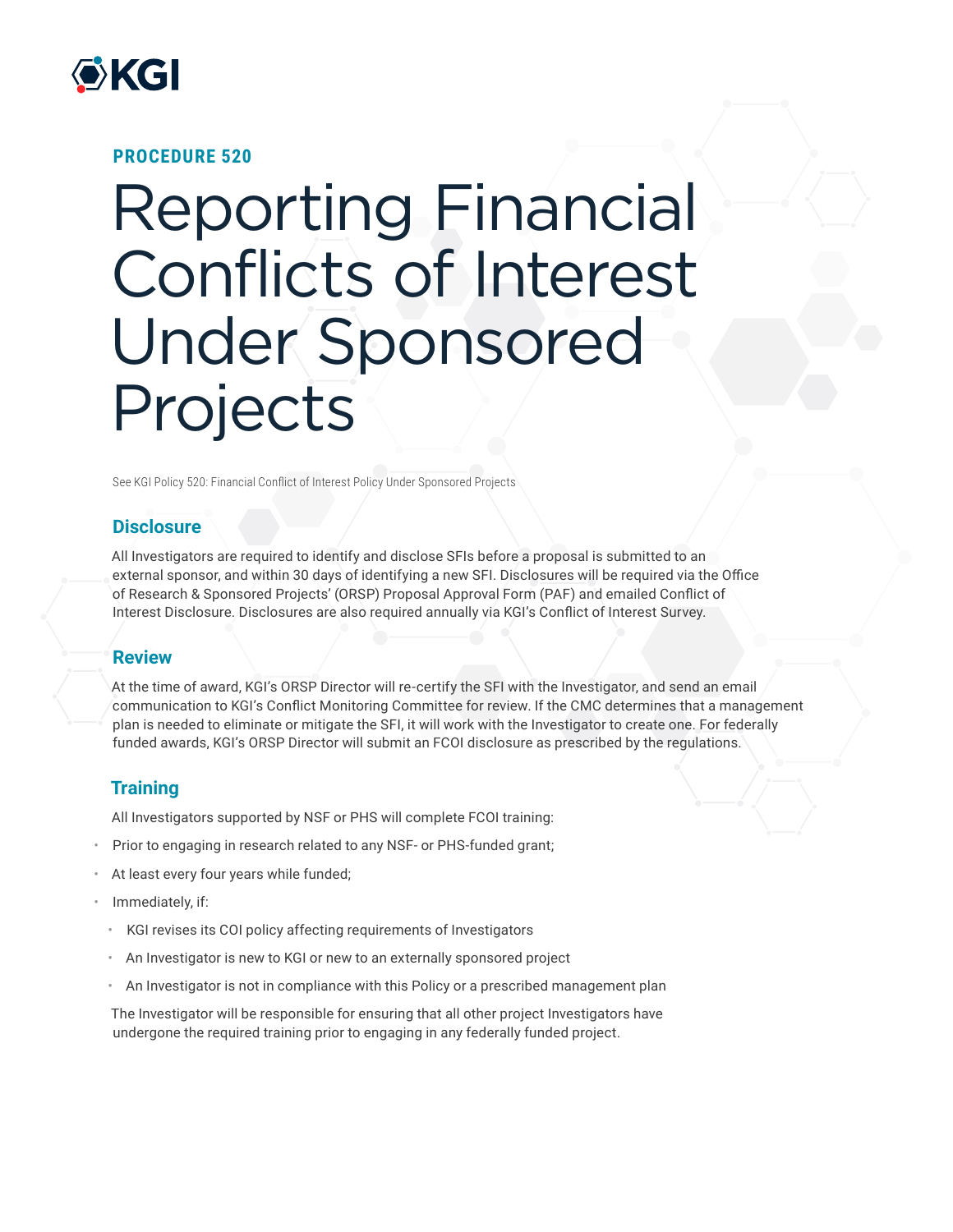

### **PROCEDURE 520**

# Reporting Financial Conflicts of Interest Under Sponsored Projects

See KGI Policy 520: Financial Conflict of Interest Policy Under Sponsored Projects

# **Disclosure**

All Investigators are required to identify and disclose SFIs before a proposal is submitted to an external sponsor, and within 30 days of identifying a new SFI. Disclosures will be required via the Office of Research & Sponsored Projects' (ORSP) Proposal Approval Form (PAF) and emailed Conflict of Interest Disclosure. Disclosures are also required annually via KGI's Conflict of Interest Survey.

#### **Review**

At the time of award, KGI's ORSP Director will re-certify the SFI with the Investigator, and send an email communication to KGI's Conflict Monitoring Committee for review. If the CMC determines that a management plan is needed to eliminate or mitigate the SFI, it will work with the Investigator to create one. For federally funded awards, KGI's ORSP Director will submit an FCOI disclosure as prescribed by the regulations.

# **Training**

All Investigators supported by NSF or PHS will complete FCOI training:

- Prior to engaging in research related to any NSF- or PHS-funded grant;
- At least every four years while funded;
- Immediately, if:
	- KGI revises its COI policy affecting requirements of Investigators
	- An Investigator is new to KGI or new to an externally sponsored project
	- An Investigator is not in compliance with this Policy or a prescribed management plan

The Investigator will be responsible for ensuring that all other project Investigators have undergone the required training prior to engaging in any federally funded project.